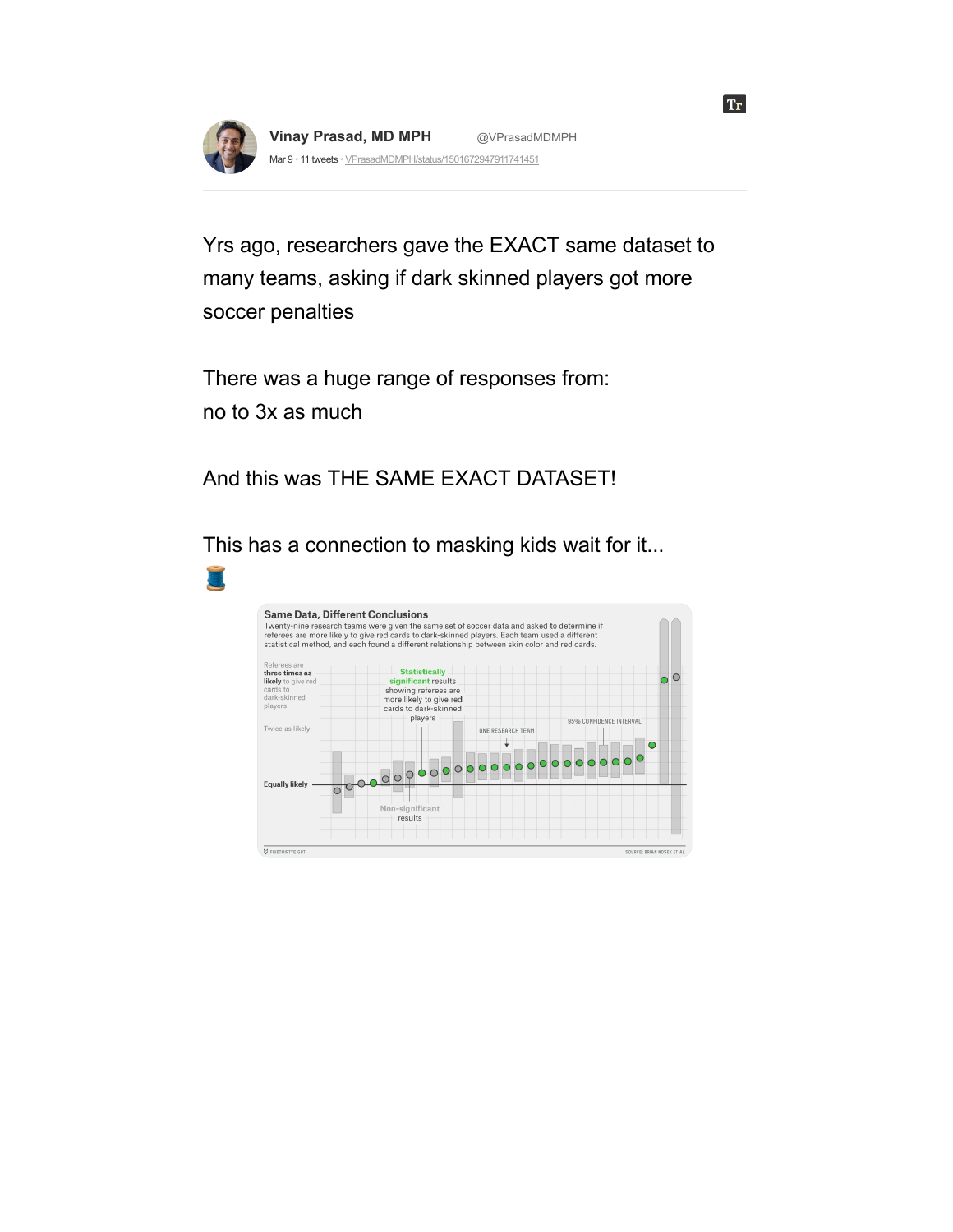

**Vinay [Prasad,](https://threadreaderapp.com/user/VPrasadMDMPH) MD MPH** [@VPrasadMDMPH](https://threadreaderapp.com/user/VPrasadMDMPH) Mar 9 · 11 tweets · [VPrasadMDMPH/status/1501672947911741451](https://twitter.com/VPrasadMDMPH/status/1501672947911741451)

Yrs ago, researchers gave the EXACT same dataset to many teams, asking if dark skinned players got more soccer penalties

**Tr** 

There was a huge range of responses from: no to 3x as much

And this was THE SAME EXACT DATASET!

This has a connection to masking kids wait for it...

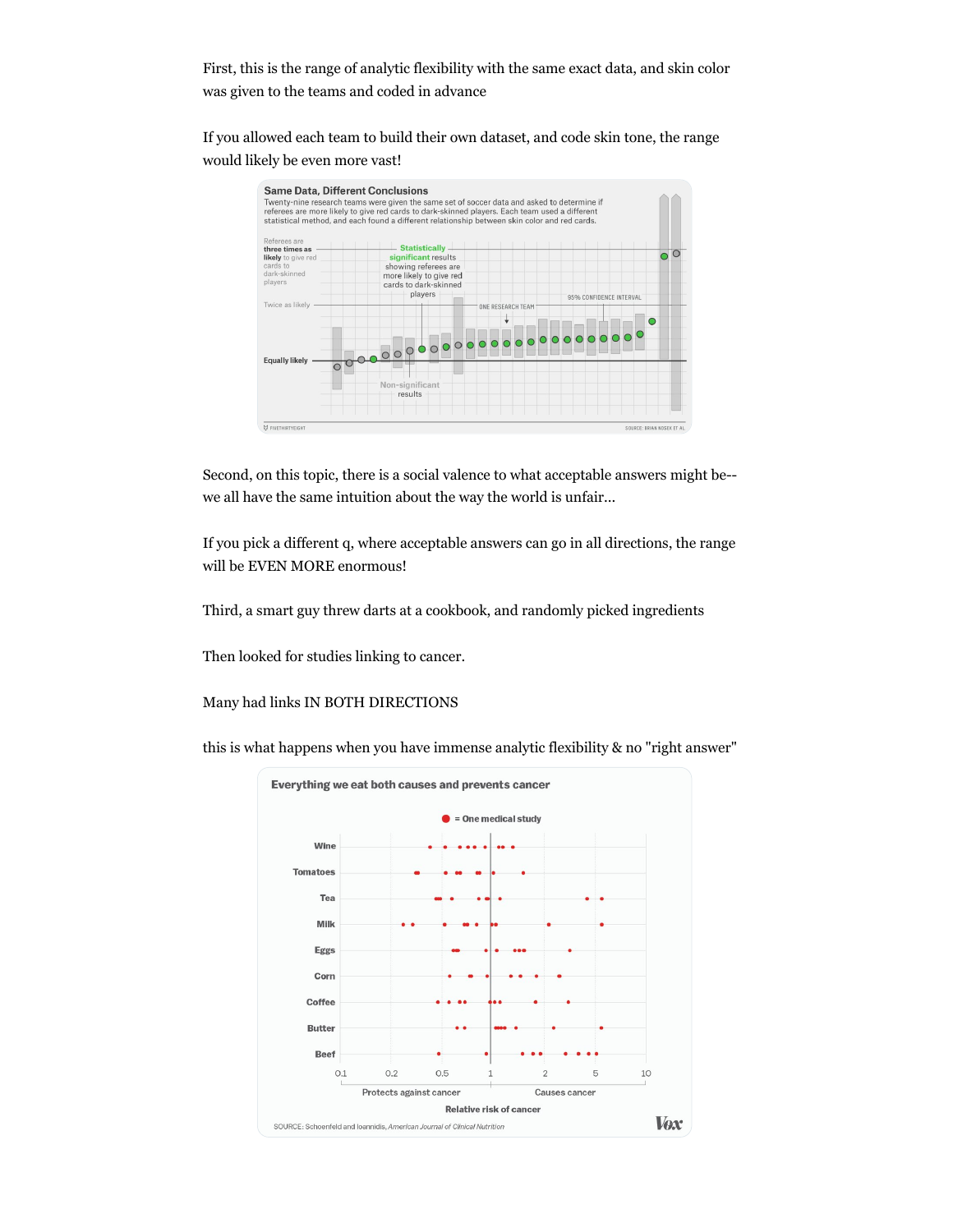First, this is the range of analytic flexibility with the same exact data, and skin color was given to the teams and coded in advance

If you allowed each team to build their own dataset, and code skin tone, the range would likely be even more vast!



Second, on this topic, there is a social valence to what acceptable answers might be- we all have the same intuition about the way the world is unfair...

If you pick a different q, where acceptable answers can go in all directions, the range will be EVEN MORE enormous!

Third, a smart guy threw darts at a cookbook, and randomly picked ingredients

Then looked for studies linking to cancer.

Many had links IN BOTH DIRECTIONS

this is what happens when you have immense analytic flexibility & no "right answer"

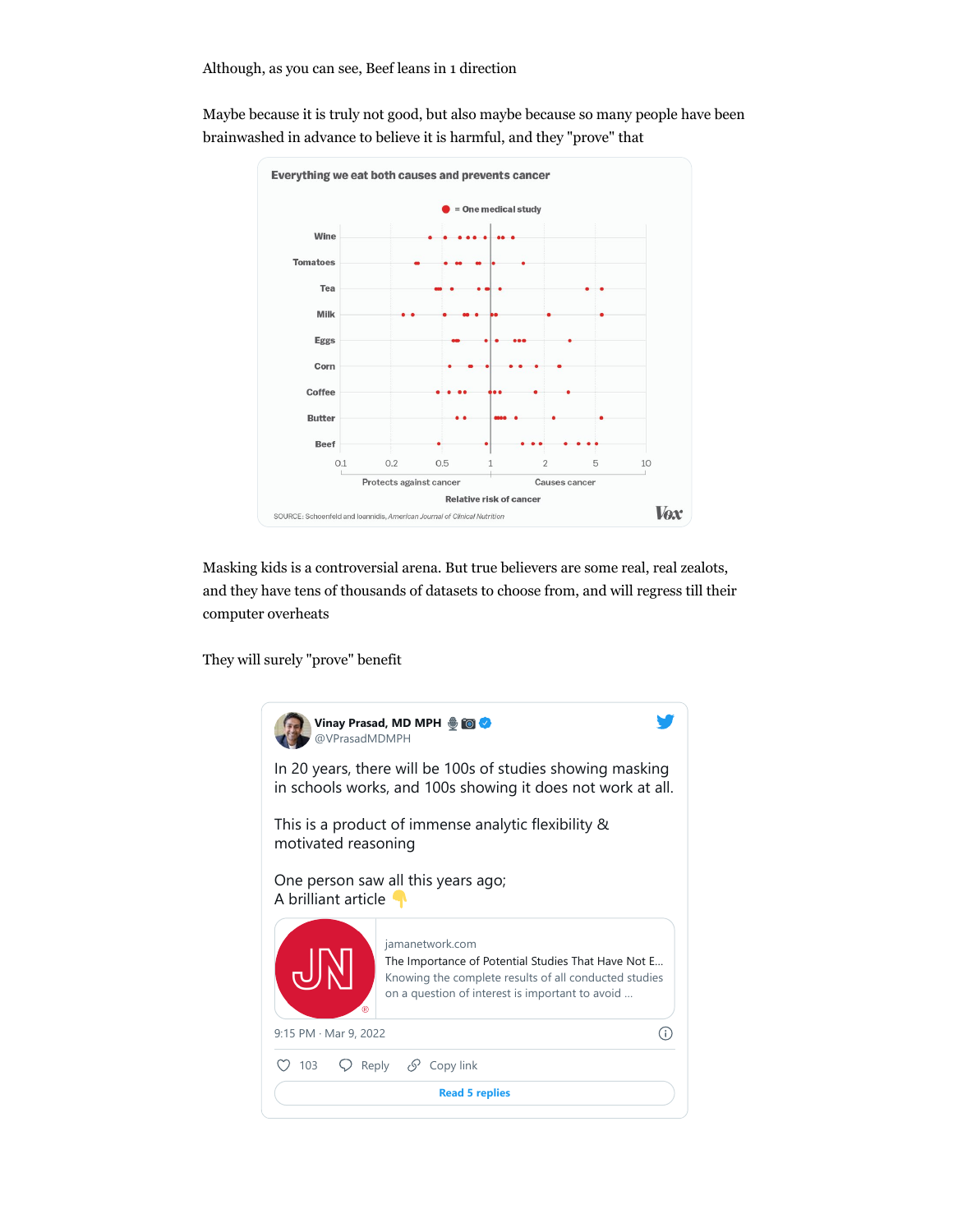

Maybe because it is truly not good, but also maybe because so many people have been brainwashed in advance to believe it is harmful, and they "prove" that

Masking kids is a controversial arena. But true believers are some real, real zealots, and they have tens of thousands of datasets to choose from, and will regress till their computer overheats

They will surely "prove" benefit

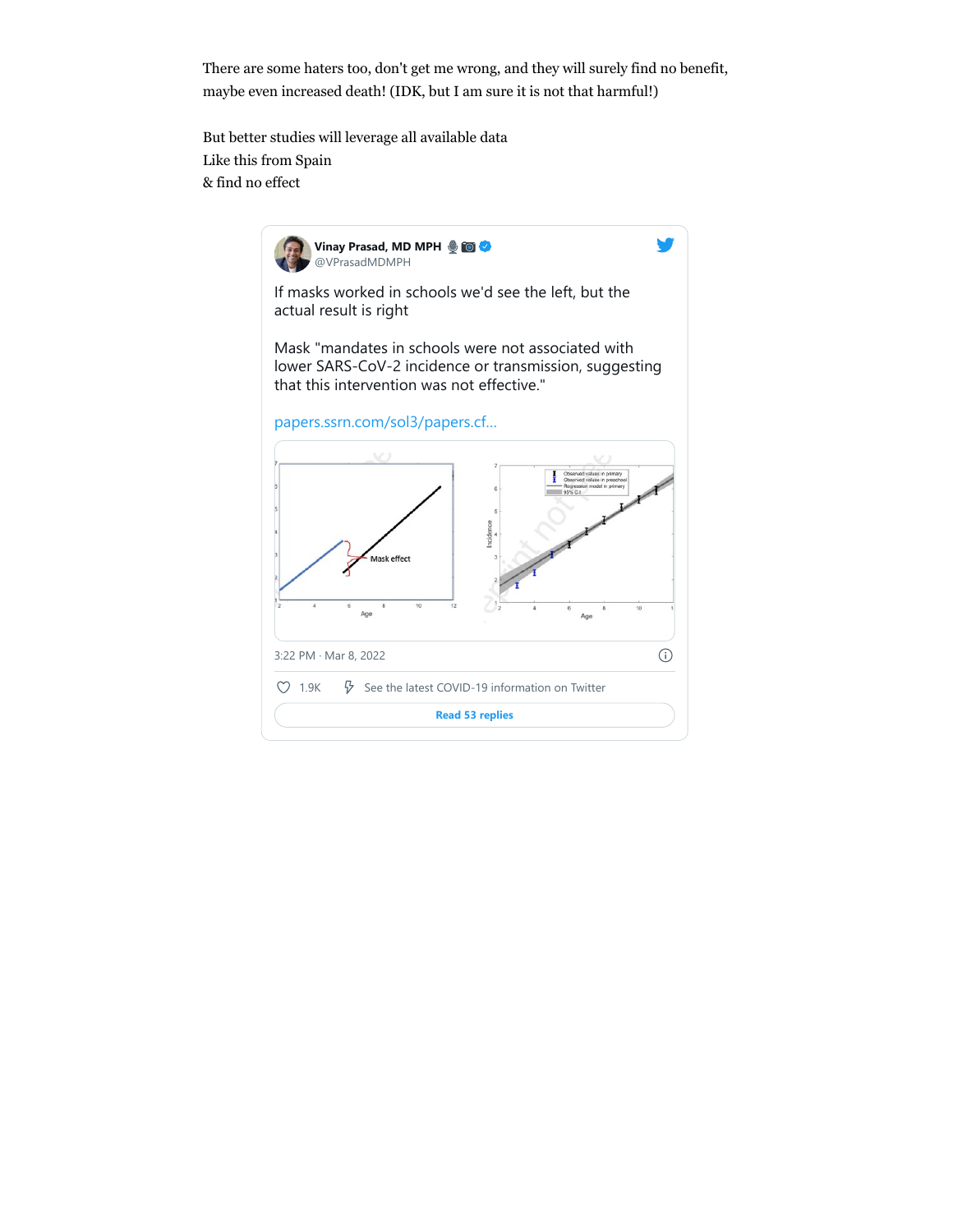There are some haters too, don't get me wrong, and they will surely find no benefit, maybe even increased death! (IDK, but I am sure it is not that harmful!)

But better studies will leverage all available data Like this from Spain & find no effect